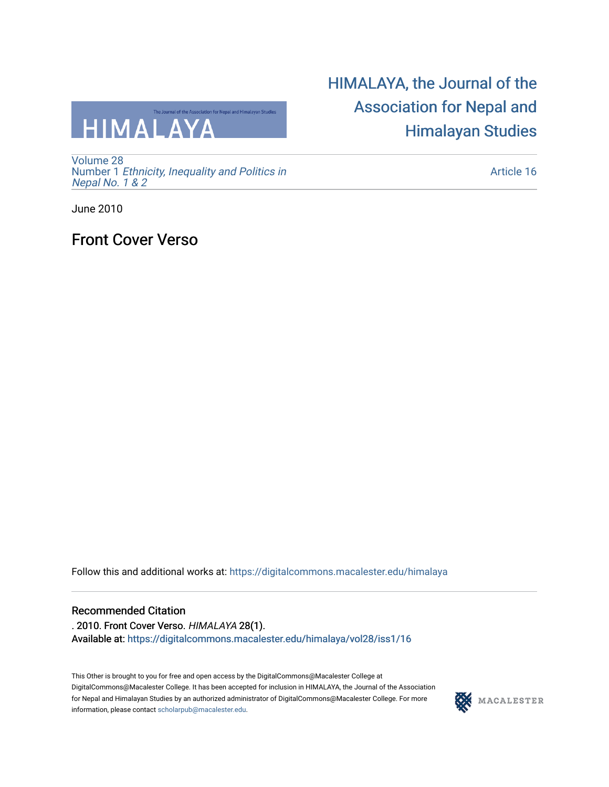

[Volume 28](https://digitalcommons.macalester.edu/himalaya/vol28) Number 1 [Ethnicity, Inequality and Politics in](https://digitalcommons.macalester.edu/himalaya/vol28/iss1)  [Nepal No. 1 & 2](https://digitalcommons.macalester.edu/himalaya/vol28/iss1) 

# [HIMALAYA, the Journal of the](https://digitalcommons.macalester.edu/himalaya)  [Association for Nepal and](https://digitalcommons.macalester.edu/himalaya)  [Himalayan Studies](https://digitalcommons.macalester.edu/himalaya)

[Article 16](https://digitalcommons.macalester.edu/himalaya/vol28/iss1/16) 

June 2010

## Front Cover Verso

Follow this and additional works at: [https://digitalcommons.macalester.edu/himalaya](https://digitalcommons.macalester.edu/himalaya?utm_source=digitalcommons.macalester.edu%2Fhimalaya%2Fvol28%2Fiss1%2F16&utm_medium=PDF&utm_campaign=PDFCoverPages)

### Recommended Citation

. 2010. Front Cover Verso. HIMALAYA 28(1). Available at: https:/[/digitalcommons.macalester.edu/himala](https://digitalcommons.macalester.edu/himalaya/vol28/iss1/16?utm_source=digitalcommons.macalester.edu%2Fhimalaya%2Fvol28%2Fiss1%2F16&utm_medium=PDF&utm_campaign=PDFCoverPages)ya/vol28/iss1/16

This Other is brought to you for free and open access by the DigitalCommons@Macalester College at DigitalCommons@Macalester College. It has been accepted for inclusion in HIMALAYA, the Journal of the Association for Nepal and Himalayan Studies by an authorized administrator of DigitalCommons@Macalester College. For more information, please contact [scholarpub@macalester.edu](mailto:scholarpub@macalester.edu).